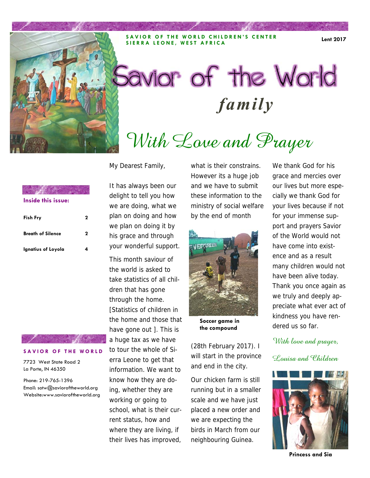**SAVIOR OF THE WORLD CHILDREN'S CENTER SIERRA LEONE, WEST AFRICA Lent 2017** 

# Savior of the World **family**

# With Love and Prayer

My Dearest Family,

**Inside this issue:**

| <b>Fish Fry</b>          | 2 |
|--------------------------|---|
| <b>Breath of Silence</b> | 2 |
| Ignatius of Loyola       | 4 |

### **SAVIOR OF THE WORLD**

7723 West State Road 2 La Porte, IN 46350

Phone: 219-765-1396 Email: sotw@savioroftheworld.org Website:www.savioroftheworld.org

It has always been our delight to tell you how we are doing, what we plan on doing and how we plan on doing it by his grace and through your wonderful support.

This month saviour of the world is asked to take statistics of all children that has gone through the home. [Statistics of children in the home and those that have gone out ]. This is a huge tax as we have to tour the whole of Sierra Leone to get that information. We want to know how they are doing, whether they are working or going to school, what is their current status, how and where they are living, if their lives has improved,

what is their constrains. However its a huge job and we have to submit these information to the ministry of social welfare by the end of month



**Soccer game in the compound** 

(28th February 2017). I will start in the province and end in the city.

Our chicken farm is still running but in a smaller scale and we have just placed a new order and we are expecting the birds in March from our neighbouring Guinea.

We thank God for his grace and mercies over our lives but more especially we thank God for your lives because if not for your immense support and prayers Savior of the World would not have come into existence and as a result many children would not have been alive today. Thank you once again as we truly and deeply appreciate what ever act of kindness you have rendered us so far.

With love and prayer,

Louisa and Children



**Princess and Sia**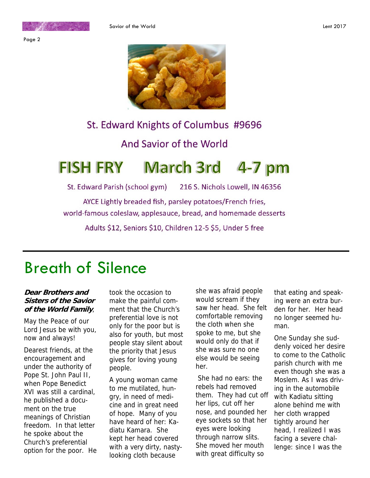



# St. Edward Knights of Columbus #9696

## And Savior of the World

### **FISH FRY March 3rd**  $4 - 7$  pm

216 S. Nichols Lowell, IN 46356 St. Edward Parish (school gym)

AYCE Lightly breaded fish, parsley potatoes/French fries, world-famous coleslaw, applesauce, bread, and homemade desserts

Adults \$12, Seniors \$10, Children 12-5 \$5, Under 5 free

# Breath of Silence

### **Dear Brothers and Sisters of the Savior of the World Family**,

May the Peace of our Lord Jesus be with you, now and always!

Dearest friends, at the encouragement and under the authority of Pope St. John Paul II, when Pope Benedict XVI was still a cardinal, he published a document on the true meanings of Christian freedom. In that letter he spoke about the Church's preferential option for the poor. He took the occasion to make the painful comment that the Church's preferential love is not only for the poor but is also for youth, but most people stay silent about the priority that Jesus gives for loving young people.

A young woman came to me mutilated, hungry, in need of medicine and in great need of hope. Many of you have heard of her: Kadiatu Kamara. She kept her head covered with a very dirty, nastylooking cloth because

she was afraid people would scream if they saw her head. She felt comfortable removing the cloth when she spoke to me, but she would only do that if she was sure no one else would be seeing her.

 She had no ears: the rebels had removed them. They had cut off her lips, cut off her nose, and pounded her eye sockets so that her eyes were looking through narrow slits. She moved her mouth with great difficulty so

that eating and speaking were an extra burden for her. Her head no longer seemed human.

One Sunday she suddenly voiced her desire to come to the Catholic parish church with me even though she was a Moslem. As I was driving in the automobile with Kadiatu sitting alone behind me with her cloth wrapped tightly around her head, I realized I was facing a severe challenge: since I was the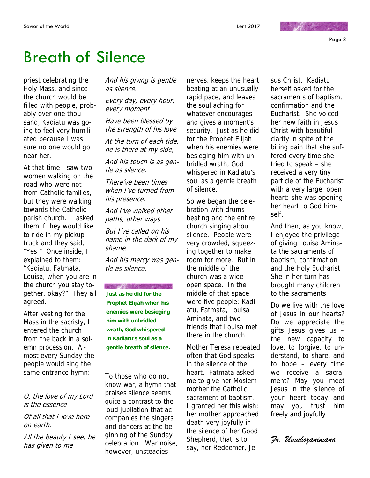Page 3

# Breath of Silence

priest celebrating the Holy Mass, and since the church would be filled with people, probably over one thousand, Kadiatu was going to feel very humiliated because I was sure no one would go near her.

At that time I saw two women walking on the road who were not from Catholic families, but they were walking towards the Catholic parish church. I asked them if they would like to ride in my pickup truck and they said, "Yes." Once inside, I explained to them: "Kadiatu, Fatmata, Louisa, when you are in the church you stay together, okay?" They all agreed.

After vesting for the Mass in the sacristy, I entered the church from the back in a solemn procession. Almost every Sunday the people would sing the same entrance hymn:

O, the love of my Lord is the essence

Of all that I love here on earth.

All the beauty I see, he has given to me

And his giving is gentle as silence.

Every day, every hour, every moment

Have been blessed by the strength of his love

At the turn of each tide, he is there at my side,

And his touch is as gentle as silence.

There've been times when I've turned from his presence,

And I've walked other paths, other ways.

But I've called on his name in the dark of my shame,

And his mercy was gentle as silence.

**AND AND AND AND AND AREA Just as he did for the Prophet Elijah when his enemies were besieging him with unbridled wrath, God whispered** 

**in Kadiatu's soul as a gentle breath of silence.**

To those who do not know war, a hymn that praises silence seems quite a contrast to the loud jubilation that accompanies the singers and dancers at the beginning of the Sunday celebration. War noise, however, unsteadies

nerves, keeps the heart beating at an unusually rapid pace, and leaves the soul aching for whatever encourages and gives a moment's security. Just as he did for the Prophet Elijah when his enemies were besieging him with unbridled wrath, God whispered in Kadiatu's soul as a gentle breath of silence.

So we began the celebration with drums beating and the entire church singing about silence. People were very crowded, squeezing together to make room for more. But in the middle of the church was a wide open space. In the middle of that space were five people: Kadiatu, Fatmata, Louisa Aminata, and two friends that Louisa met there in the church.

Mother Teresa repeated often that God speaks in the silence of the heart. Fatmata asked me to give her Moslem mother the Catholic sacrament of baptism. I granted her this wish; her mother approached death very joyfully in the silence of her Good Shepherd, that is to say, her Redeemer, Je-

sus Christ. Kadiatu herself asked for the sacraments of baptism, confirmation and the Eucharist. She voiced her new faith in Jesus Christ with beautiful clarity in spite of the biting pain that she suffered every time she tried to speak – she received a very tiny particle of the Eucharist with a very large, open heart: she was opening her heart to God himself.

**MARCHART** 

And then, as you know, I enjoyed the privilege of giving Louisa Aminata the sacraments of baptism, confirmation and the Holy Eucharist. She in her turn has brought many children to the sacraments.

Do we live with the love of Jesus in our hearts? Do we appreciate the gifts Jesus gives us – the new capacity to love, to forgive, to understand, to share, and to hope – every time we receive a sacrament? May you meet Jesus in the silence of your heart today and may you trust him freely and joyfully.

### *Fr. Umuhozanimana*